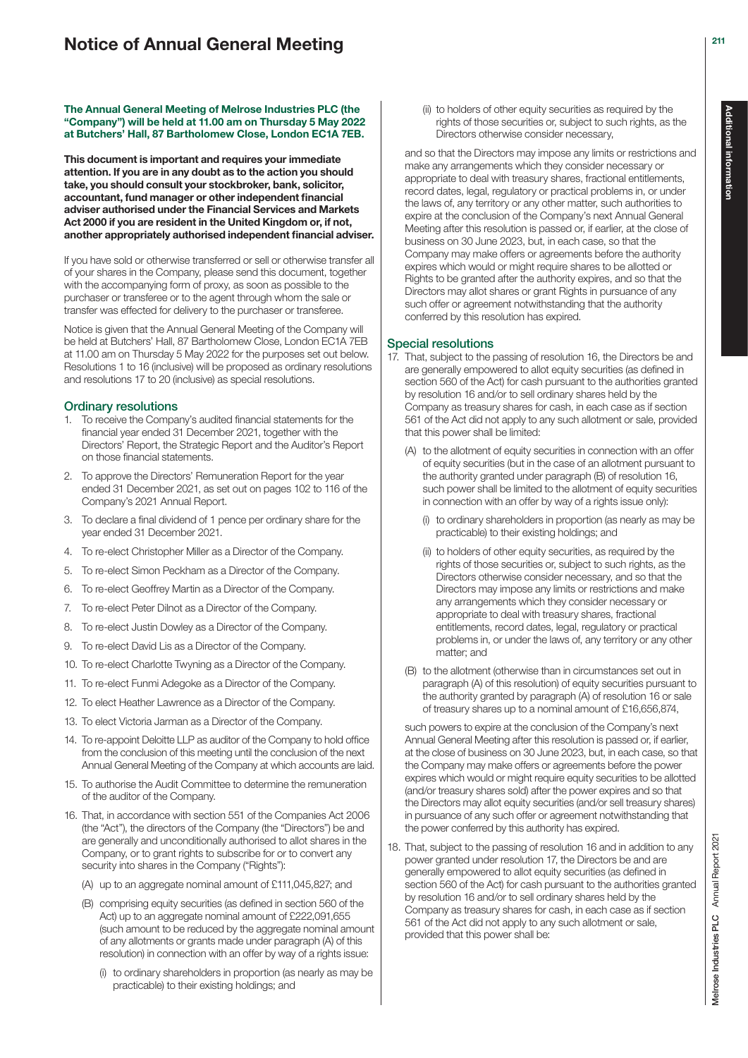## The Annual General Meeting of Melrose Industries PLC (the "Company") will be held at 11.00 am on Thursday 5 May 2022 at Butchers' Hall, 87 Bartholomew Close, London EC1A 7EB.

This document is important and requires your immediate attention. If you are in any doubt as to the action you should take, you should consult your stockbroker, bank, solicitor, accountant, fund manager or other independent financial adviser authorised under the Financial Services and Markets Act 2000 if you are resident in the United Kingdom or, if not, another appropriately authorised independent financial adviser.

If you have sold or otherwise transferred or sell or otherwise transfer all of your shares in the Company, please send this document, together with the accompanying form of proxy, as soon as possible to the purchaser or transferee or to the agent through whom the sale or transfer was effected for delivery to the purchaser or transferee.

Notice is given that the Annual General Meeting of the Company will be held at Butchers' Hall, 87 Bartholomew Close, London EC1A 7EB at 11.00 am on Thursday 5 May 2022 for the purposes set out below. Resolutions 1 to 16 (inclusive) will be proposed as ordinary resolutions and resolutions 17 to 20 (inclusive) as special resolutions.

# Ordinary resolutions

- 1. To receive the Company's audited financial statements for the financial year ended 31 December 2021, together with the Directors' Report, the Strategic Report and the Auditor's Report on those financial statements.
- 2. To approve the Directors' Remuneration Report for the year ended 31 December 2021, as set out on pages 102 to 116 of the Company's 2021 Annual Report.
- 3. To declare a final dividend of 1 pence per ordinary share for the year ended 31 December 2021.
- 4. To re-elect Christopher Miller as a Director of the Company.
- 5. To re-elect Simon Peckham as a Director of the Company.
- 6. To re-elect Geoffrey Martin as a Director of the Company.
- 7. To re-elect Peter Dilnot as a Director of the Company.
- 8. To re-elect Justin Dowley as a Director of the Company.
- 9. To re-elect David Lis as a Director of the Company.
- 10. To re-elect Charlotte Twyning as a Director of the Company.
- 11. To re-elect Funmi Adegoke as a Director of the Company.
- 12. To elect Heather Lawrence as a Director of the Company.
- 13. To elect Victoria Jarman as a Director of the Company.
- 14. To re-appoint Deloitte LLP as auditor of the Company to hold office from the conclusion of this meeting until the conclusion of the next Annual General Meeting of the Company at which accounts are laid.
- 15. To authorise the Audit Committee to determine the remuneration of the auditor of the Company.
- 16. That, in accordance with section 551 of the Companies Act 2006 (the "Act"), the directors of the Company (the "Directors") be and are generally and unconditionally authorised to allot shares in the Company, or to grant rights to subscribe for or to convert any security into shares in the Company ("Rights"):
	- (A) up to an aggregate nominal amount of £111,045,827; and
	- (B) comprising equity securities (as defined in section 560 of the Act) up to an aggregate nominal amount of £222,091,655 (such amount to be reduced by the aggregate nominal amount of any allotments or grants made under paragraph (A) of this resolution) in connection with an offer by way of a rights issue:
		- (i) to ordinary shareholders in proportion (as nearly as may be practicable) to their existing holdings; and

 (ii) to holders of other equity securities as required by the rights of those securities or, subject to such rights, as the Directors otherwise consider necessary,

 and so that the Directors may impose any limits or restrictions and make any arrangements which they consider necessary or appropriate to deal with treasury shares, fractional entitlements, record dates, legal, regulatory or practical problems in, or under the laws of, any territory or any other matter, such authorities to expire at the conclusion of the Company's next Annual General Meeting after this resolution is passed or, if earlier, at the close of business on 30 June 2023, but, in each case, so that the Company may make offers or agreements before the authority expires which would or might require shares to be allotted or Rights to be granted after the authority expires, and so that the Directors may allot shares or grant Rights in pursuance of any such offer or agreement notwithstanding that the authority conferred by this resolution has expired.

# Special resolutions

- 17. That, subject to the passing of resolution 16, the Directors be and are generally empowered to allot equity securities (as defined in section 560 of the Act) for cash pursuant to the authorities granted by resolution 16 and/or to sell ordinary shares held by the Company as treasury shares for cash, in each case as if section 561 of the Act did not apply to any such allotment or sale, provided that this power shall be limited:
	- to the allotment of equity securities in connection with an offer of equity securities (but in the case of an allotment pursuant to the authority granted under paragraph (B) of resolution 16, such power shall be limited to the allotment of equity securities in connection with an offer by way of a rights issue only):
		- (i) to ordinary shareholders in proportion (as nearly as may be practicable) to their existing holdings; and
		- (ii) to holders of other equity securities, as required by the rights of those securities or, subject to such rights, as the Directors otherwise consider necessary, and so that the Directors may impose any limits or restrictions and make any arrangements which they consider necessary or appropriate to deal with treasury shares, fractional entitlements, record dates, legal, regulatory or practical problems in, or under the laws of, any territory or any other matter; and
	- (B) to the allotment (otherwise than in circumstances set out in paragraph (A) of this resolution) of equity securities pursuant to the authority granted by paragraph (A) of resolution 16 or sale of treasury shares up to a nominal amount of £16,656,874,

 such powers to expire at the conclusion of the Company's next Annual General Meeting after this resolution is passed or, if earlier, at the close of business on 30 June 2023, but, in each case, so that the Company may make offers or agreements before the power expires which would or might require equity securities to be allotted (and/or treasury shares sold) after the power expires and so that the Directors may allot equity securities (and/or sell treasury shares) in pursuance of any such offer or agreement notwithstanding that the power conferred by this authority has expired.

18. That, subject to the passing of resolution 16 and in addition to any power granted under resolution 17, the Directors be and are generally empowered to allot equity securities (as defined in section 560 of the Act) for cash pursuant to the authorities granted by resolution 16 and/or to sell ordinary shares held by the Company as treasury shares for cash, in each case as if section 561 of the Act did not apply to any such allotment or sale, provided that this power shall be:

Additional information

Additional informatior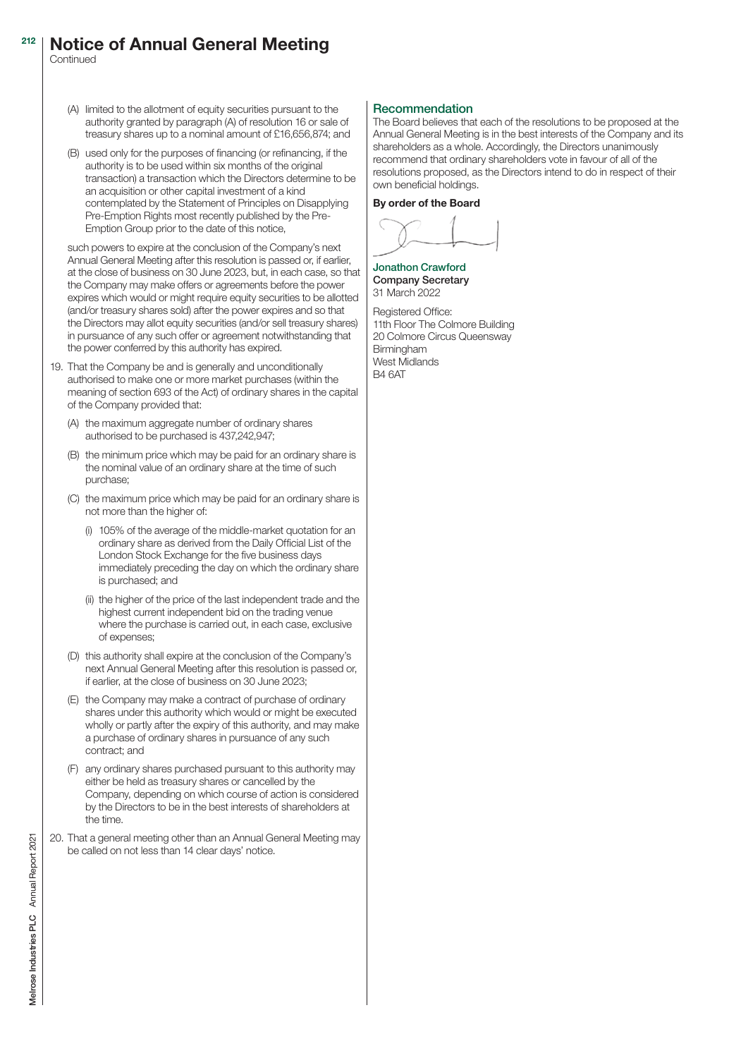#### Notice of Annual General Meeting 212

**Continued** 

- (A) limited to the allotment of equity securities pursuant to the authority granted by paragraph (A) of resolution 16 or sale of treasury shares up to a nominal amount of £16,656,874; and
- (B) used only for the purposes of financing (or refinancing, if the authority is to be used within six months of the original transaction) a transaction which the Directors determine to be an acquisition or other capital investment of a kind contemplated by the Statement of Principles on Disapplying Pre-Emption Rights most recently published by the Pre-Emption Group prior to the date of this notice,

 such powers to expire at the conclusion of the Company's next Annual General Meeting after this resolution is passed or, if earlier, at the close of business on 30 June 2023, but, in each case, so that the Company may make offers or agreements before the power expires which would or might require equity securities to be allotted (and/or treasury shares sold) after the power expires and so that the Directors may allot equity securities (and/or sell treasury shares) in pursuance of any such offer or agreement notwithstanding that the power conferred by this authority has expired.

- 19. That the Company be and is generally and unconditionally authorised to make one or more market purchases (within the meaning of section 693 of the Act) of ordinary shares in the capital of the Company provided that:
	- (A) the maximum aggregate number of ordinary shares authorised to be purchased is 437,242,947;
	- (B) the minimum price which may be paid for an ordinary share is the nominal value of an ordinary share at the time of such purchase;
	- (C) the maximum price which may be paid for an ordinary share is not more than the higher of:
		- (i) 105% of the average of the middle-market quotation for an ordinary share as derived from the Daily Official List of the London Stock Exchange for the five business days immediately preceding the day on which the ordinary share is purchased; and
		- (ii) the higher of the price of the last independent trade and the highest current independent bid on the trading venue where the purchase is carried out, in each case, exclusive of expenses;
	- (D) this authority shall expire at the conclusion of the Company's next Annual General Meeting after this resolution is passed or, if earlier, at the close of business on 30 June 2023;
	- (E) the Company may make a contract of purchase of ordinary shares under this authority which would or might be executed wholly or partly after the expiry of this authority, and may make a purchase of ordinary shares in pursuance of any such contract; and
	- (F) any ordinary shares purchased pursuant to this authority may either be held as treasury shares or cancelled by the Company, depending on which course of action is considered by the Directors to be in the best interests of shareholders at the time.
- 20. That a general meeting other than an Annual General Meeting may be called on not less than 14 clear days' notice.

## Recommendation

The Board believes that each of the resolutions to be proposed at the Annual General Meeting is in the best interests of the Company and its shareholders as a whole. Accordingly, the Directors unanimously recommend that ordinary shareholders vote in favour of all of the resolutions proposed, as the Directors intend to do in respect of their own beneficial holdings.

By order of the Board

Jonathon Crawford Company Secretary 31 March 2022

Registered Office: 11th Floor The Colmore Building 20 Colmore Circus Queensway Birmingham West Midlands B4 6AT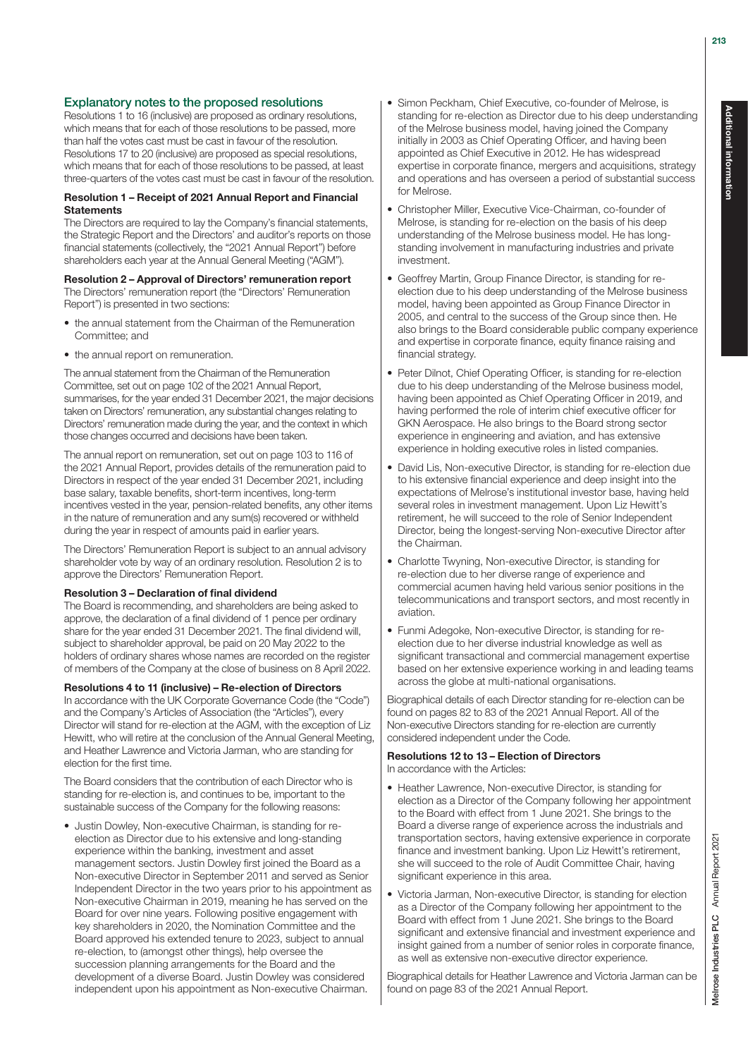213

# Explanatory notes to the proposed resolutions

Resolutions 1 to 16 (inclusive) are proposed as ordinary resolutions, which means that for each of those resolutions to be passed, more than half the votes cast must be cast in favour of the resolution. Resolutions 17 to 20 (inclusive) are proposed as special resolutions, which means that for each of those resolutions to be passed, at least three-quarters of the votes cast must be cast in favour of the resolution.

### Resolution 1 – Receipt of 2021 Annual Report and Financial **Statements**

The Directors are required to lay the Company's financial statements, the Strategic Report and the Directors' and auditor's reports on those financial statements (collectively, the "2021 Annual Report") before shareholders each year at the Annual General Meeting ("AGM").

Resolution 2 – Approval of Directors' remuneration report The Directors' remuneration report (the "Directors' Remuneration Report") is presented in two sections:

- the annual statement from the Chairman of the Remuneration Committee; and
- the annual report on remuneration.

The annual statement from the Chairman of the Remuneration Committee, set out on page 102 of the 2021 Annual Report, summarises, for the year ended 31 December 2021, the major decisions taken on Directors' remuneration, any substantial changes relating to Directors' remuneration made during the year, and the context in which those changes occurred and decisions have been taken.

The annual report on remuneration, set out on page 103 to 116 of the 2021 Annual Report, provides details of the remuneration paid to Directors in respect of the year ended 31 December 2021, including base salary, taxable benefits, short-term incentives, long-term incentives vested in the year, pension-related benefits, any other items in the nature of remuneration and any sum(s) recovered or withheld during the year in respect of amounts paid in earlier years.

The Directors' Remuneration Report is subject to an annual advisory shareholder vote by way of an ordinary resolution. Resolution 2 is to approve the Directors' Remuneration Report.

### Resolution 3 – Declaration of final dividend

The Board is recommending, and shareholders are being asked to approve, the declaration of a final dividend of 1 pence per ordinary share for the year ended 31 December 2021. The final dividend will, subject to shareholder approval, be paid on 20 May 2022 to the holders of ordinary shares whose names are recorded on the register of members of the Company at the close of business on 8 April 2022.

### Resolutions 4 to 11 (inclusive) – Re-election of Directors

In accordance with the UK Corporate Governance Code (the "Code") and the Company's Articles of Association (the "Articles"), every Director will stand for re-election at the AGM, with the exception of Liz Hewitt, who will retire at the conclusion of the Annual General Meeting, and Heather Lawrence and Victoria Jarman, who are standing for election for the first time.

The Board considers that the contribution of each Director who is standing for re-election is, and continues to be, important to the sustainable success of the Company for the following reasons:

• Justin Dowley, Non-executive Chairman, is standing for reelection as Director due to his extensive and long-standing experience within the banking, investment and asset management sectors. Justin Dowley first joined the Board as a Non-executive Director in September 2011 and served as Senior Independent Director in the two years prior to his appointment as Non-executive Chairman in 2019, meaning he has served on the Board for over nine years. Following positive engagement with key shareholders in 2020, the Nomination Committee and the Board approved his extended tenure to 2023, subject to annual re-election, to (amongst other things), help oversee the succession planning arrangements for the Board and the development of a diverse Board. Justin Dowley was considered independent upon his appointment as Non-executive Chairman.

- Simon Peckham, Chief Executive, co-founder of Melrose, is standing for re-election as Director due to his deep understanding of the Melrose business model, having joined the Company initially in 2003 as Chief Operating Officer, and having been appointed as Chief Executive in 2012. He has widespread expertise in corporate finance, mergers and acquisitions, strategy and operations and has overseen a period of substantial success for Melrose.
- Christopher Miller, Executive Vice-Chairman, co-founder of Melrose, is standing for re-election on the basis of his deep understanding of the Melrose business model. He has longstanding involvement in manufacturing industries and private investment.
- Geoffrey Martin, Group Finance Director, is standing for reelection due to his deep understanding of the Melrose business model, having been appointed as Group Finance Director in 2005, and central to the success of the Group since then. He also brings to the Board considerable public company experience and expertise in corporate finance, equity finance raising and financial strategy.
- Peter Dilnot, Chief Operating Officer, is standing for re-election due to his deep understanding of the Melrose business model, having been appointed as Chief Operating Officer in 2019, and having performed the role of interim chief executive officer for GKN Aerospace. He also brings to the Board strong sector experience in engineering and aviation, and has extensive experience in holding executive roles in listed companies.
- David Lis, Non-executive Director, is standing for re-election due to his extensive financial experience and deep insight into the expectations of Melrose's institutional investor base, having held several roles in investment management. Upon Liz Hewitt's retirement, he will succeed to the role of Senior Independent Director, being the longest-serving Non-executive Director after the Chairman.
- Charlotte Twyning, Non-executive Director, is standing for re-election due to her diverse range of experience and commercial acumen having held various senior positions in the telecommunications and transport sectors, and most recently in aviation.
- Funmi Adegoke, Non-executive Director, is standing for reelection due to her diverse industrial knowledge as well as significant transactional and commercial management expertise based on her extensive experience working in and leading teams across the globe at multi-national organisations.

Biographical details of each Director standing for re-election can be found on pages 82 to 83 of the 2021 Annual Report. All of the Non-executive Directors standing for re-election are currently considered independent under the Code.

# Resolutions 12 to 13 – Election of Directors

In accordance with the Articles:

- Heather Lawrence, Non-executive Director, is standing for election as a Director of the Company following her appointment to the Board with effect from 1 June 2021. She brings to the Board a diverse range of experience across the industrials and transportation sectors, having extensive experience in corporate finance and investment banking. Upon Liz Hewitt's retirement, she will succeed to the role of Audit Committee Chair, having significant experience in this area.
- Victoria Jarman, Non-executive Director, is standing for election as a Director of the Company following her appointment to the Board with effect from 1 June 2021. She brings to the Board significant and extensive financial and investment experience and insight gained from a number of senior roles in corporate finance, as well as extensive non-executive director experience.

Biographical details for Heather Lawrence and Victoria Jarman can be found on page 83 of the 2021 Annual Report.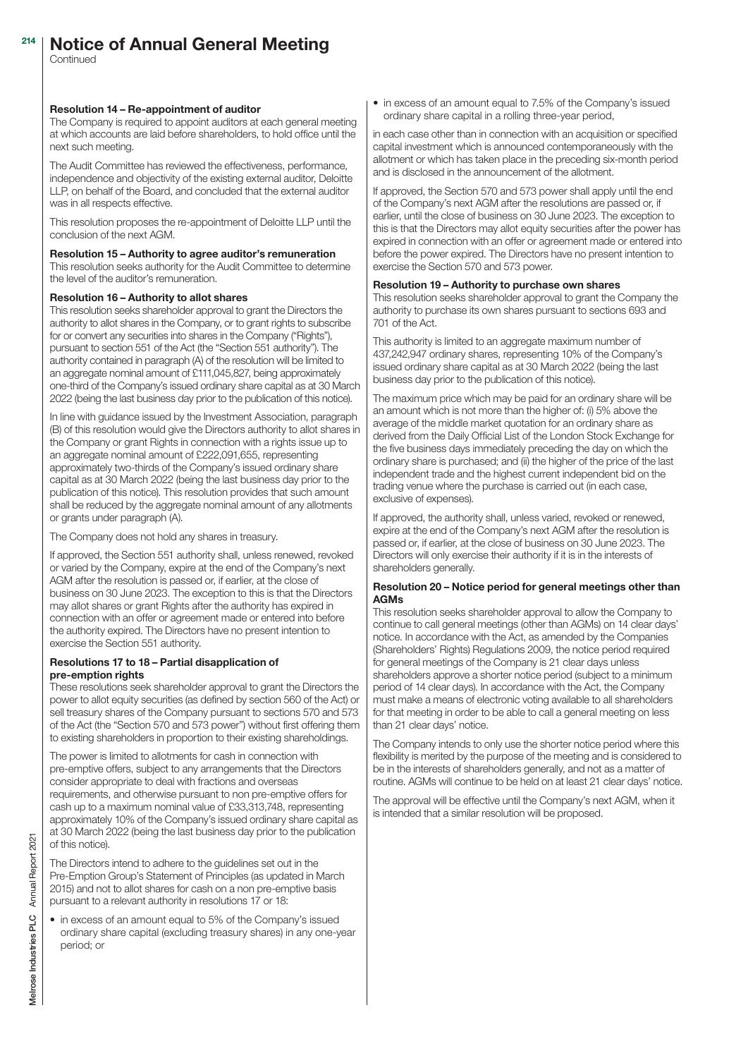#### Notice of Annual General Meeting 214

Continued

### Resolution 14 – Re-appointment of auditor

The Company is required to appoint auditors at each general meeting at which accounts are laid before shareholders, to hold office until the next such meeting.

The Audit Committee has reviewed the effectiveness, performance, independence and objectivity of the existing external auditor, Deloitte LLP, on behalf of the Board, and concluded that the external auditor was in all respects effective.

This resolution proposes the re-appointment of Deloitte LLP until the conclusion of the next AGM.

# Resolution 15 – Authority to agree auditor's remuneration

This resolution seeks authority for the Audit Committee to determine the level of the auditor's remuneration.

# Resolution 16 – Authority to allot shares

This resolution seeks shareholder approval to grant the Directors the authority to allot shares in the Company, or to grant rights to subscribe for or convert any securities into shares in the Company ("Rights"), pursuant to section 551 of the Act (the "Section 551 authority"). The authority contained in paragraph (A) of the resolution will be limited to an aggregate nominal amount of £111,045,827, being approximately one-third of the Company's issued ordinary share capital as at 30 March 2022 (being the last business day prior to the publication of this notice).

In line with guidance issued by the Investment Association, paragraph (B) of this resolution would give the Directors authority to allot shares in the Company or grant Rights in connection with a rights issue up to an aggregate nominal amount of £222,091,655, representing approximately two-thirds of the Company's issued ordinary share capital as at 30 March 2022 (being the last business day prior to the publication of this notice). This resolution provides that such amount shall be reduced by the aggregate nominal amount of any allotments or grants under paragraph (A).

The Company does not hold any shares in treasury.

If approved, the Section 551 authority shall, unless renewed, revoked or varied by the Company, expire at the end of the Company's next AGM after the resolution is passed or, if earlier, at the close of business on 30 June 2023. The exception to this is that the Directors may allot shares or grant Rights after the authority has expired in connection with an offer or agreement made or entered into before the authority expired. The Directors have no present intention to exercise the Section 551 authority.

# Resolutions 17 to 18 – Partial disapplication of pre-emption rights

These resolutions seek shareholder approval to grant the Directors the power to allot equity securities (as defined by section 560 of the Act) or sell treasury shares of the Company pursuant to sections 570 and 573 of the Act (the "Section 570 and 573 power") without first offering them to existing shareholders in proportion to their existing shareholdings.

The power is limited to allotments for cash in connection with pre-emptive offers, subject to any arrangements that the Directors consider appropriate to deal with fractions and overseas requirements, and otherwise pursuant to non pre-emptive offers for cash up to a maximum nominal value of £33,313,748, representing approximately 10% of the Company's issued ordinary share capital as at 30 March 2022 (being the last business day prior to the publication of this notice).

The Directors intend to adhere to the guidelines set out in the Pre-Emption Group's Statement of Principles (as updated in March 2015) and not to allot shares for cash on a non pre-emptive basis pursuant to a relevant authority in resolutions 17 or 18:

• in excess of an amount equal to 5% of the Company's issued ordinary share capital (excluding treasury shares) in any one-year period; or

• in excess of an amount equal to 7.5% of the Company's issued ordinary share capital in a rolling three-year period,

in each case other than in connection with an acquisition or specified capital investment which is announced contemporaneously with the allotment or which has taken place in the preceding six-month period and is disclosed in the announcement of the allotment.

If approved, the Section 570 and 573 power shall apply until the end of the Company's next AGM after the resolutions are passed or, if earlier, until the close of business on 30 June 2023. The exception to this is that the Directors may allot equity securities after the power has expired in connection with an offer or agreement made or entered into before the power expired. The Directors have no present intention to exercise the Section 570 and 573 power.

### Resolution 19 – Authority to purchase own shares

This resolution seeks shareholder approval to grant the Company the authority to purchase its own shares pursuant to sections 693 and 701 of the Act.

This authority is limited to an aggregate maximum number of 437,242,947 ordinary shares, representing 10% of the Company's issued ordinary share capital as at 30 March 2022 (being the last business day prior to the publication of this notice).

The maximum price which may be paid for an ordinary share will be an amount which is not more than the higher of: (i) 5% above the average of the middle market quotation for an ordinary share as derived from the Daily Official List of the London Stock Exchange for the five business days immediately preceding the day on which the ordinary share is purchased; and (ii) the higher of the price of the last independent trade and the highest current independent bid on the trading venue where the purchase is carried out (in each case, exclusive of expenses).

If approved, the authority shall, unless varied, revoked or renewed, expire at the end of the Company's next AGM after the resolution is passed or, if earlier, at the close of business on 30 June 2023. The Directors will only exercise their authority if it is in the interests of shareholders generally.

### Resolution 20 – Notice period for general meetings other than AGMs

This resolution seeks shareholder approval to allow the Company to continue to call general meetings (other than AGMs) on 14 clear days' notice. In accordance with the Act, as amended by the Companies (Shareholders' Rights) Regulations 2009, the notice period required for general meetings of the Company is 21 clear days unless shareholders approve a shorter notice period (subject to a minimum period of 14 clear days). In accordance with the Act, the Company must make a means of electronic voting available to all shareholders for that meeting in order to be able to call a general meeting on less than 21 clear days' notice.

The Company intends to only use the shorter notice period where this flexibility is merited by the purpose of the meeting and is considered to be in the interests of shareholders generally, and not as a matter of routine. AGMs will continue to be held on at least 21 clear days' notice.

The approval will be effective until the Company's next AGM, when it is intended that a similar resolution will be proposed.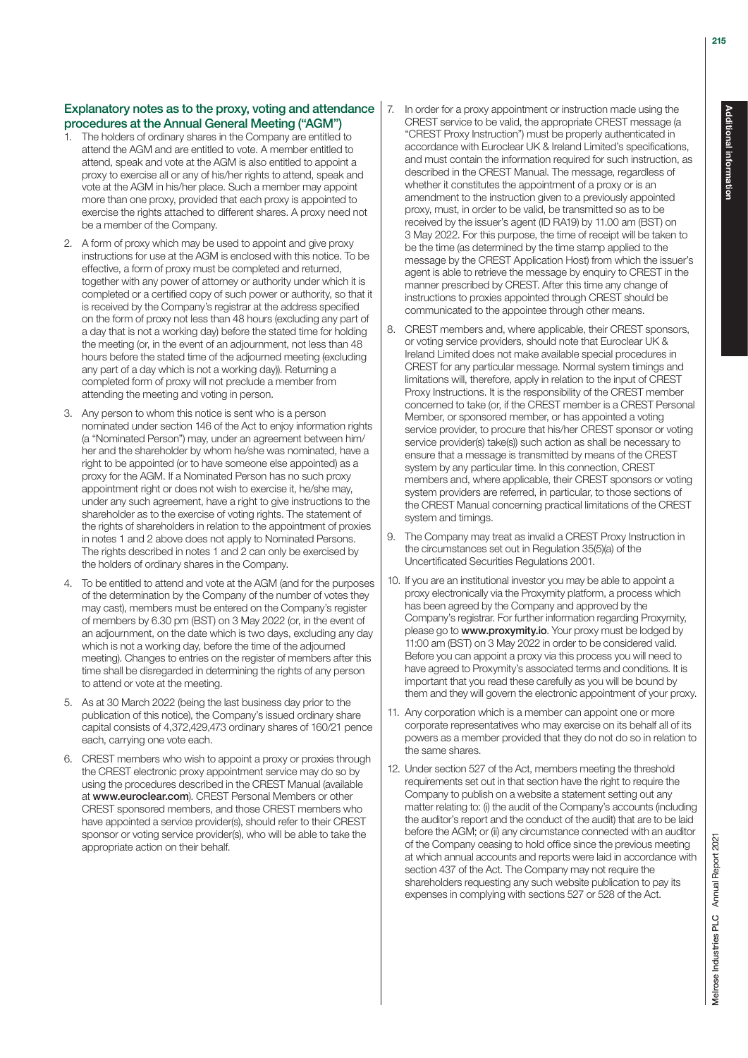215

# Explanatory notes as to the proxy, voting and attendance procedures at the Annual General Meeting ("AGM")

- 1. The holders of ordinary shares in the Company are entitled to attend the AGM and are entitled to vote. A member entitled to attend, speak and vote at the AGM is also entitled to appoint a proxy to exercise all or any of his/her rights to attend, speak and vote at the AGM in his/her place. Such a member may appoint more than one proxy, provided that each proxy is appointed to exercise the rights attached to different shares. A proxy need not be a member of the Company.
- 2. A form of proxy which may be used to appoint and give proxy instructions for use at the AGM is enclosed with this notice. To be effective, a form of proxy must be completed and returned, together with any power of attorney or authority under which it is completed or a certified copy of such power or authority, so that it is received by the Company's registrar at the address specified on the form of proxy not less than 48 hours (excluding any part of a day that is not a working day) before the stated time for holding the meeting (or, in the event of an adjournment, not less than 48 hours before the stated time of the adjourned meeting (excluding any part of a day which is not a working day)). Returning a completed form of proxy will not preclude a member from attending the meeting and voting in person.
- 3. Any person to whom this notice is sent who is a person nominated under section 146 of the Act to enjoy information rights (a "Nominated Person") may, under an agreement between him/ her and the shareholder by whom he/she was nominated, have a right to be appointed (or to have someone else appointed) as a proxy for the AGM. If a Nominated Person has no such proxy appointment right or does not wish to exercise it, he/she may, under any such agreement, have a right to give instructions to the shareholder as to the exercise of voting rights. The statement of the rights of shareholders in relation to the appointment of proxies in notes 1 and 2 above does not apply to Nominated Persons. The rights described in notes 1 and 2 can only be exercised by the holders of ordinary shares in the Company.
- 4. To be entitled to attend and vote at the AGM (and for the purposes of the determination by the Company of the number of votes they may cast), members must be entered on the Company's register of members by 6.30 pm (BST) on 3 May 2022 (or, in the event of an adjournment, on the date which is two days, excluding any day which is not a working day, before the time of the adjourned meeting). Changes to entries on the register of members after this time shall be disregarded in determining the rights of any person to attend or vote at the meeting.
- 5. As at 30 March 2022 (being the last business day prior to the publication of this notice), the Company's issued ordinary share capital consists of 4,372,429,473 ordinary shares of 160/21 pence each, carrying one vote each.
- 6. CREST members who wish to appoint a proxy or proxies through the CREST electronic proxy appointment service may do so by using the procedures described in the CREST Manual (available at www.euroclear.com). CREST Personal Members or other CREST sponsored members, and those CREST members who have appointed a service provider(s), should refer to their CREST sponsor or voting service provider(s), who will be able to take the appropriate action on their behalf.
- 7. In order for a proxy appointment or instruction made using the CREST service to be valid, the appropriate CREST message (a "CREST Proxy Instruction") must be properly authenticated in accordance with Euroclear UK & Ireland Limited's specifications, and must contain the information required for such instruction, as described in the CREST Manual. The message, regardless of whether it constitutes the appointment of a proxy or is an amendment to the instruction given to a previously appointed proxy, must, in order to be valid, be transmitted so as to be received by the issuer's agent (ID RA19) by 11.00 am (BST) on 3 May 2022. For this purpose, the time of receipt will be taken to be the time (as determined by the time stamp applied to the message by the CREST Application Host) from which the issuer's agent is able to retrieve the message by enquiry to CREST in the manner prescribed by CREST. After this time any change of instructions to proxies appointed through CREST should be communicated to the appointee through other means.
- 8. CREST members and, where applicable, their CREST sponsors, or voting service providers, should note that Euroclear UK & Ireland Limited does not make available special procedures in CREST for any particular message. Normal system timings and limitations will, therefore, apply in relation to the input of CREST Proxy Instructions. It is the responsibility of the CREST member concerned to take (or, if the CREST member is a CREST Personal Member, or sponsored member, or has appointed a voting service provider, to procure that his/her CREST sponsor or voting service provider(s) take(s)) such action as shall be necessary to ensure that a message is transmitted by means of the CREST system by any particular time. In this connection, CREST members and, where applicable, their CREST sponsors or voting system providers are referred, in particular, to those sections of the CREST Manual concerning practical limitations of the CREST system and timings.
- 9. The Company may treat as invalid a CREST Proxy Instruction in the circumstances set out in Regulation 35(5)(a) of the Uncertificated Securities Regulations 2001.
- 10. If you are an institutional investor you may be able to appoint a proxy electronically via the Proxymity platform, a process which has been agreed by the Company and approved by the Company's registrar. For further information regarding Proxymity, please go to www.proxymity.io. Your proxy must be lodged by 11:00 am (BST) on 3 May 2022 in order to be considered valid. Before you can appoint a proxy via this process you will need to have agreed to Proxymity's associated terms and conditions. It is important that you read these carefully as you will be bound by them and they will govern the electronic appointment of your proxy.
- 11. Any corporation which is a member can appoint one or more corporate representatives who may exercise on its behalf all of its powers as a member provided that they do not do so in relation to the same shares.
- 12. Under section 527 of the Act, members meeting the threshold requirements set out in that section have the right to require the Company to publish on a website a statement setting out any matter relating to: (i) the audit of the Company's accounts (including the auditor's report and the conduct of the audit) that are to be laid before the AGM; or (ii) any circumstance connected with an auditor of the Company ceasing to hold office since the previous meeting at which annual accounts and reports were laid in accordance with section 437 of the Act. The Company may not require the shareholders requesting any such website publication to pay its expenses in complying with sections 527 or 528 of the Act.